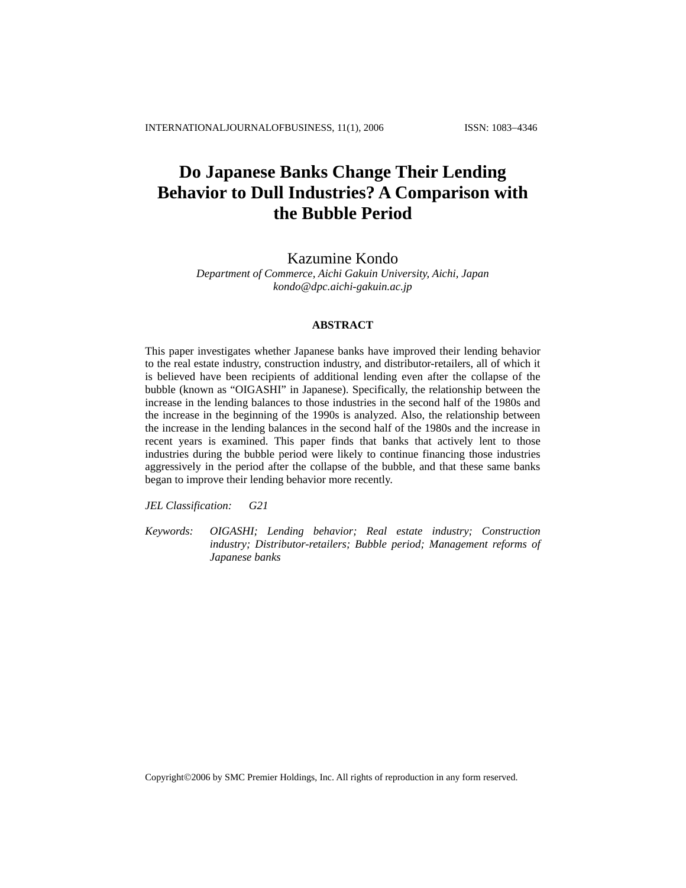# **Do Japanese Banks Change Their Lending Behavior to Dull Industries? A Comparison with the Bubble Period**

## Kazumine Kondo

*Department of Commerce, Aichi Gakuin University, Aichi, Japan kondo@dpc.aichi-gakuin.ac.jp* 

#### **ABSTRACT**

This paper investigates whether Japanese banks have improved their lending behavior to the real estate industry, construction industry, and distributor-retailers, all of which it is believed have been recipients of additional lending even after the collapse of the bubble (known as "OIGASHI" in Japanese). Specifically, the relationship between the increase in the lending balances to those industries in the second half of the 1980s and the increase in the beginning of the 1990s is analyzed. Also, the relationship between the increase in the lending balances in the second half of the 1980s and the increase in recent years is examined. This paper finds that banks that actively lent to those industries during the bubble period were likely to continue financing those industries aggressively in the period after the collapse of the bubble, and that these same banks began to improve their lending behavior more recently.

*JEL Classification: G21*

*Keywords: OIGASHI; Lending behavior; Real estate industry; Construction industry; Distributor-retailers; Bubble period; Management reforms of Japanese banks* 

Copyright©2006 by SMC Premier Holdings, Inc. All rights of reproduction in any form reserved.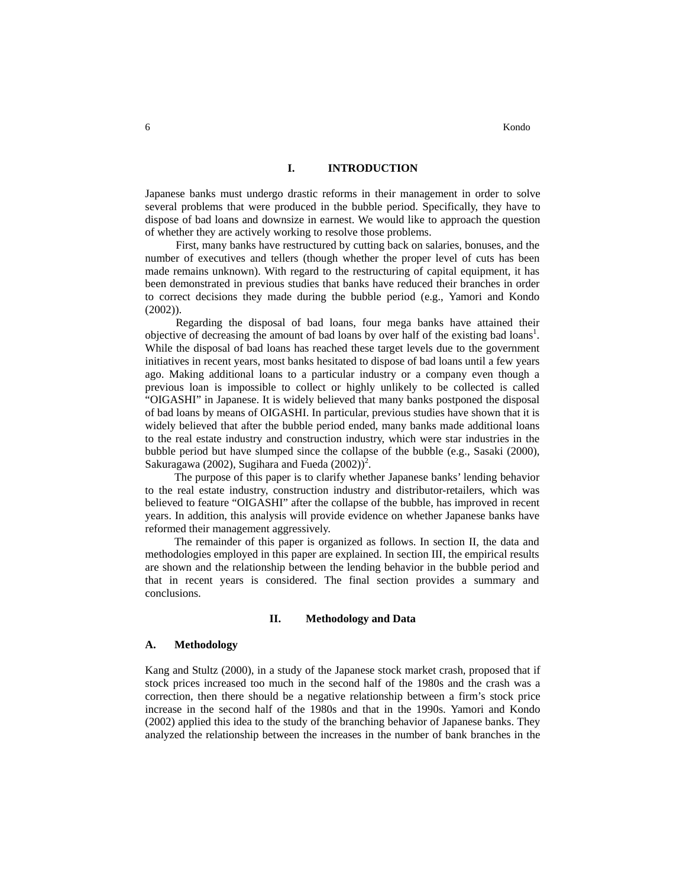## **I. INTRODUCTION**

Japanese banks must undergo drastic reforms in their management in order to solve several problems that were produced in the bubble period. Specifically, they have to dispose of bad loans and downsize in earnest. We would like to approach the question of whether they are actively working to resolve those problems.

First, many banks have restructured by cutting back on salaries, bonuses, and the number of executives and tellers (though whether the proper level of cuts has been made remains unknown). With regard to the restructuring of capital equipment, it has been demonstrated in previous studies that banks have reduced their branches in order to correct decisions they made during the bubble period (e.g., Yamori and Kondo (2002)).

Regarding the disposal of bad loans, four mega banks have attained their objective of decreasing the amount of bad loans by over half of the existing bad loans 1 . While the disposal of bad loans has reached these target levels due to the government initiatives in recent years, most banks hesitated to dispose of bad loans until a few years ago. Making additional loans to a particular industry or a company even though a previous loan is impossible to collect or highly unlikely to be collected is called "OIGASHI" in Japanese. It is widely believed that many banks postponed the disposal of bad loans by means of OIGASHI. In particular, previous studies have shown that it is widely believed that after the bubble period ended, many banks made additional loans to the real estate industry and construction industry, which were star industries in the bubble period but have slumped since the collapse of the bubble (e.g., Sasaki (2000), Sakuragawa (2002), Sugihara and Fueda  $(2002)^2$ .

The purpose of this paper is to clarify whether Japanese banks' lending behavior to the real estate industry, construction industry and distributor-retailers, which was believed to feature "OIGASHI" after the collapse of the bubble, has improved in recent years. In addition, this analysis will provide evidence on whether Japanese banks have reformed their management aggressively.

The remainder of this paper is organized as follows. In section II, the data and methodologies employed in this paper are explained. In section III, the empirical results are shown and the relationship between the lending behavior in the bubble period and that in recent years is considered. The final section provides a summary and conclusions.

#### **II. Methodology and Data**

#### **A. Methodology**

Kang and Stultz (2000), in a study of the Japanese stock market crash, proposed that if stock prices increased too much in the second half of the 1980s and the crash was a correction, then there should be a negative relationship between a firm's stock price increase in the second half of the 1980s and that in the 1990s. Yamori and Kondo (2002) applied this idea to the study of the branching behavior of Japanese banks. They analyzed the relationship between the increases in the number of bank branches in the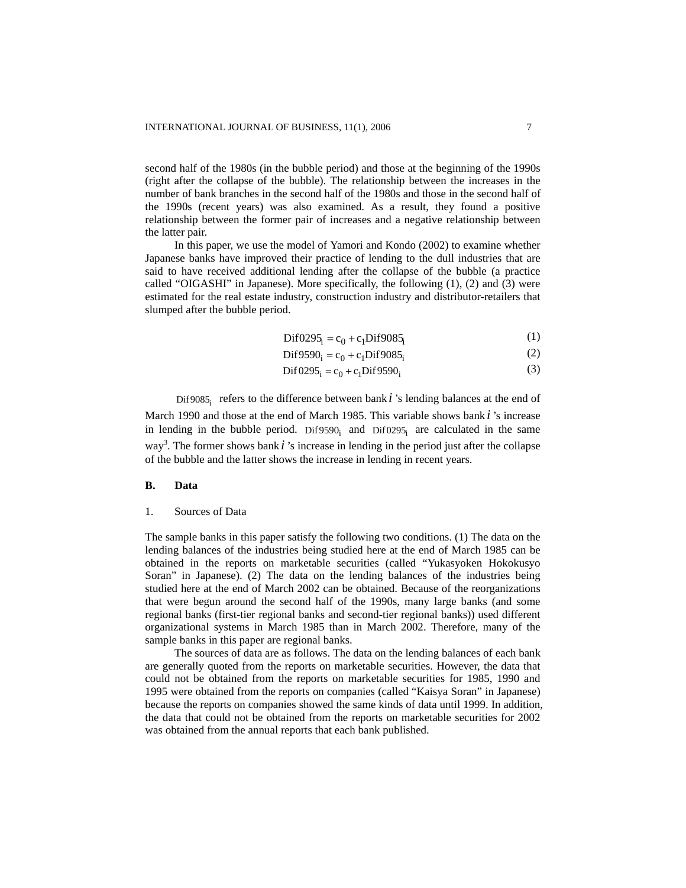second half of the 1980s (in the bubble period) and those at the beginning of the 1990s (right after the collapse of the bubble). The relationship between the increases in the number of bank branches in the second half of the 1980s and those in the second half of the 1990s (recent years) was also examined. As a result, they found a positive relationship between the former pair of increases and a negative relationship between the latter pair.

In this paper, we use the model of Yamori and Kondo (2002) to examine whether Japanese banks have improved their practice of lending to the dull industries that are said to have received additional lending after the collapse of the bubble (a practice called "OIGASHI" in Japanese). More specifically, the following (1), (2) and (3) were estimated for the real estate industry, construction industry and distributor-retailers that slumped after the bubble period.

$$
Dif0295_i = c_0 + c_1 Dif9085_i \tag{1}
$$

$$
Dif 9590i = c0 + c1 Dif 9085i
$$
 (2)

$$
Dif 0295_i = c_0 + c_1 Dif 9590_i \tag{3}
$$

Dif9085 refers to the difference between bank  $i$  's lending balances at the end of March 1990 and those at the end of March 1985. This variable shows bank *i* 's increase in lending in the bubble period. Dif9590<sub>i</sub> and Dif0295<sub>i</sub> are calculated in the same way 3 . The former shows bank *i* 's increase in lending in the period just after the collapse of the bubble and the latter shows the increase in lending in recent years.

#### **B. Data**

## 1. Sources of Data

The sample banks in this paper satisfy the following two conditions. (1) The data on the lending balances of the industries being studied here at the end of March 1985 can be obtained in the reports on marketable securities (called "Yukasyoken Hokokusyo Soran" in Japanese). (2) The data on the lending balances of the industries being studied here at the end of March 2002 can be obtained. Because of the reorganizations that were begun around the second half of the 1990s, many large banks (and some regional banks (first-tier regional banks and second-tier regional banks)) used different organizational systems in March 1985 than in March 2002. Therefore, many of the sample banks in this paper are regional banks.

The sources of data are as follows. The data on the lending balances of each bank are generally quoted from the reports on marketable securities. However, the data that could not be obtained from the reports on marketable securities for 1985, 1990 and 1995 were obtained from the reports on companies (called "Kaisya Soran" in Japanese) because the reports on companies showed the same kinds of data until 1999. In addition, the data that could not be obtained from the reports on marketable securities for 2002 was obtained from the annual reports that each bank published.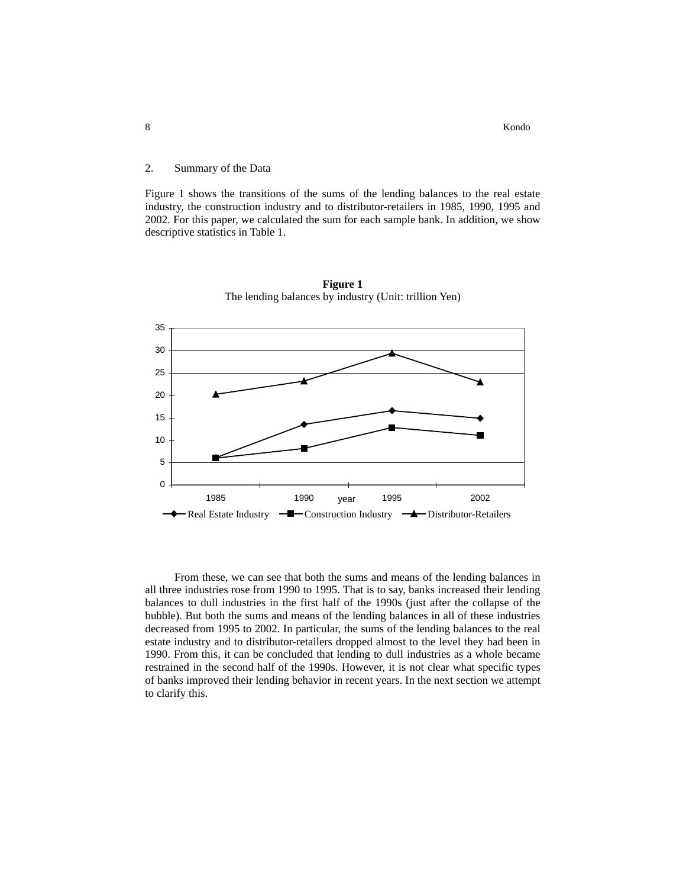## 2. Summary of the Data

Figure 1 shows the transitions of the sums of the lending balances to the real estate industry, the construction industry and to distributor-retailers in 1985, 1990, 1995 and 2002. For this paper, we calculated the sum for each sample bank. In addition, we show descriptive statistics in Table 1.



**Figure 1**  The lending balances by industry (Unit: trillion Yen)

From these, we can see that both the sums and means of the lending balances in all three industries rose from 1990 to 1995. That is to say, banks increased their lending balances to dull industries in the first half of the 1990s (just after the collapse of the bubble). But both the sums and means of the lending balances in all of these industries decreased from 1995 to 2002. In particular, the sums of the lending balances to the real estate industry and to distributor-retailers dropped almost to the level they had been in 1990. From this, it can be concluded that lending to dull industries as a whole became restrained in the second half of the 1990s. However, it is not clear what specific types of banks improved their lending behavior in recent years. In the next section we attempt to clarify this.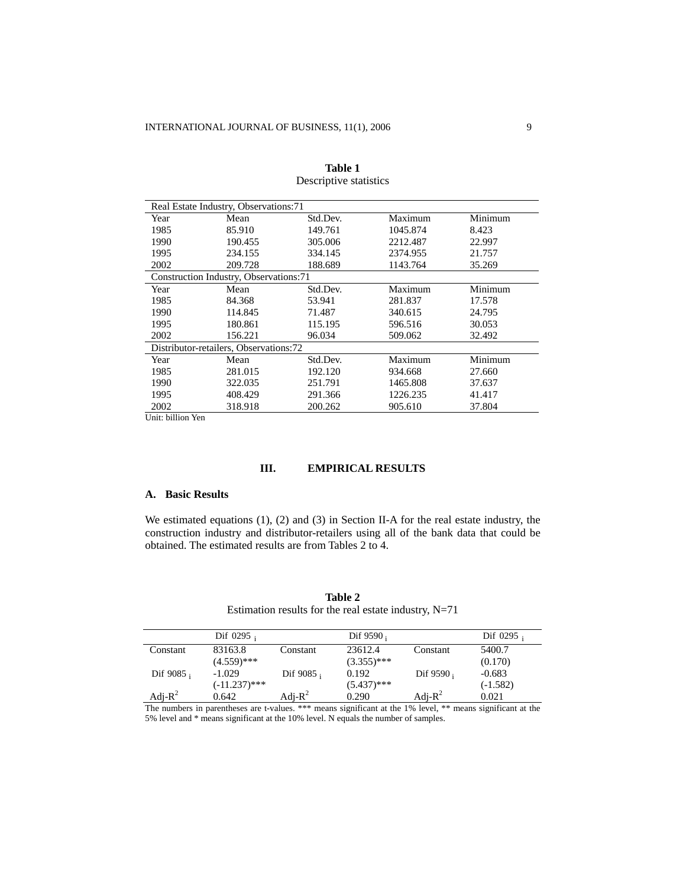| Real Estate Industry, Observations:71 |                                        |          |          |         |  |  |
|---------------------------------------|----------------------------------------|----------|----------|---------|--|--|
| Year                                  | Mean                                   | Std.Dev. | Maximum  | Minimum |  |  |
| 1985                                  | 85.910                                 | 149.761  | 1045.874 | 8.423   |  |  |
| 1990                                  | 190.455                                | 305.006  | 2212.487 | 22.997  |  |  |
| 1995                                  | 234.155                                | 334.145  | 2374.955 | 21.757  |  |  |
| 2002                                  | 209.728                                | 188.689  | 1143.764 | 35.269  |  |  |
|                                       | Construction Industry, Observations:71 |          |          |         |  |  |
| Year                                  | Mean                                   | Std.Dev. | Maximum  | Minimum |  |  |
| 1985                                  | 84.368                                 | 53.941   | 281.837  | 17.578  |  |  |
| 1990                                  | 114.845                                | 71.487   | 340.615  | 24.795  |  |  |
| 1995                                  | 180.861                                | 115.195  | 596.516  | 30.053  |  |  |
| 2002                                  | 156.221                                | 96.034   | 509.062  | 32.492  |  |  |
|                                       | Distributor-retailers, Observations:72 |          |          |         |  |  |
| Year                                  | Mean                                   | Std.Dev. | Maximum  | Minimum |  |  |
| 1985                                  | 281.015                                | 192.120  | 934.668  | 27.660  |  |  |
| 1990                                  | 322.035                                | 251.791  | 1465.808 | 37.637  |  |  |
| 1995                                  | 408.429                                | 291.366  | 1226.235 | 41.417  |  |  |
| 2002                                  | 318.918                                | 200.262  | 905.610  | 37.804  |  |  |

**Table 1** Descriptive statistics

Unit: billion Yen

## **III. EMPIRICAL RESULTS**

## **A. Basic Results**

We estimated equations (1), (2) and (3) in Section II-A for the real estate industry, the construction industry and distributor-retailers using all of the bank data that could be obtained. The estimated results are from Tables 2 to 4.

|            | Dif $0295$ ;    |              | Dif $9590$ :  |              | Dif $0295$ ; |
|------------|-----------------|--------------|---------------|--------------|--------------|
| Constant   | 83163.8         | Constant     | 23612.4       | Constant     | 5400.7       |
|            | $(4.559)$ ***   |              | $(3.355)$ *** |              | (0.170)      |
| Dif 9085;  | $-1.029$        | Dif $9085$ ; | 0.192         | Dif $9590_i$ | $-0.683$     |
|            | $(-11.237)$ *** |              | $(5.437)$ *** |              | $(-1.582)$   |
| Adj- $R^2$ | 0.642           | Adj- $R^2$   | 0.290         | Adj- $R^2$   | 0.021        |

**Table 2** Estimation results for the real estate industry, N=71

The numbers in parentheses are t-values. \*\*\* means significant at the 1% level, \*\* means significant at the 5% level and \* means significant at the 10% level. N equals the number of samples.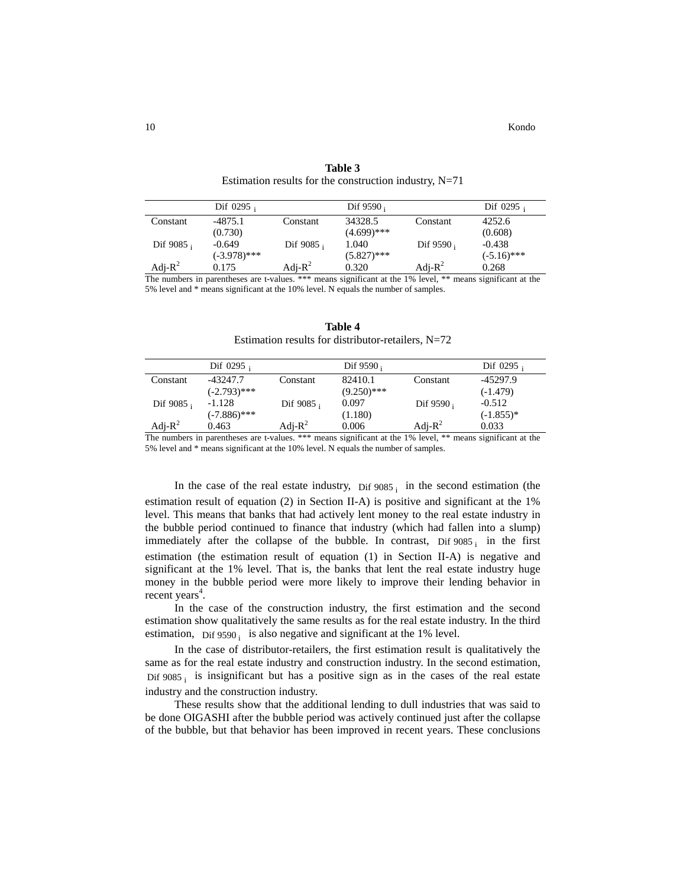|              | Dif $0295$ ;   |              | Dif $9590_i$  |              | Dif $0295$ ;  |
|--------------|----------------|--------------|---------------|--------------|---------------|
| Constant     | $-4875.1$      | Constant     | 34328.5       | Constant     | 4252.6        |
|              | (0.730)        |              | $(4.699)$ *** |              | (0.608)       |
| Dif $9085$ ; | $-0.649$       | Dif $9085$ ; | 1.040         | Dif $9590_i$ | $-0.438$      |
|              | $(-3.978)$ *** |              | $(5.827)$ *** |              | $(-5.16)$ *** |
| Adj- $R^2$   | 0.175          | Adj- $R^2$   | 0.320         | Adj- $R^2$   | 0.268         |

**Table 3** Estimation results for the construction industry, N=71

The numbers in parentheses are t-values. \*\*\* means significant at the 1% level, \*\* means significant at the 5% level and \* means significant at the 10% level. N equals the number of samples.

| Table 4                                            |  |
|----------------------------------------------------|--|
| Estimation results for distributor-retailers, N=72 |  |

|            | Dif $0295$ ;   |              | Dif $9590_i$  |              | Dif $0295$ ; |
|------------|----------------|--------------|---------------|--------------|--------------|
| Constant   | -43247.7       | Constant     | 82410.1       | Constant     | -45297.9     |
|            | $(-2.793)$ *** |              | $(9.250)$ *** |              | $(-1.479)$   |
| Dif 9085;  | $-1.128$       | Dif $9085_i$ | 0.097         | Dif $9590_i$ | $-0.512$     |
|            | $(-7.886)$ *** |              | (1.180)       |              | $(-1.855)^*$ |
| Adj- $R^2$ | 0.463          | Adj- $R^2$   | 0.006         | Adj- $R^2$   | 0.033        |

The numbers in parentheses are t-values. \*\*\* means significant at the 1% level, \*\* means significant at the 5% level and \* means significant at the 10% level. N equals the number of samples.

In the case of the real estate industry,  $\overline{D}$  if 9085 is in the second estimation (the estimation result of equation (2) in Section II-A) is positive and significant at the 1% level. This means that banks that had actively lent money to the real estate industry in the bubble period continued to finance that industry (which had fallen into a slump) immediately after the collapse of the bubble. In contrast,  $Dist\ 9085$  in the first estimation (the estimation result of equation (1) in Section II-A) is negative and significant at the 1% level. That is, the banks that lent the real estate industry huge money in the bubble period were more likely to improve their lending behavior in recent years<sup>4</sup>.

In the case of the construction industry, the first estimation and the second estimation show qualitatively the same results as for the real estate industry. In the third estimation, Dif 9590 $_i$  is also negative and significant at the 1% level.

In the case of distributor-retailers, the first estimation result is qualitatively the same as for the real estate industry and construction industry. In the second estimation, Dif  $9085<sub>i</sub>$  is insignificant but has a positive sign as in the cases of the real estate industry and the construction industry.

These results show that the additional lending to dull industries that was said to be done OIGASHI after the bubble period was actively continued just after the collapse of the bubble, but that behavior has been improved in recent years. These conclusions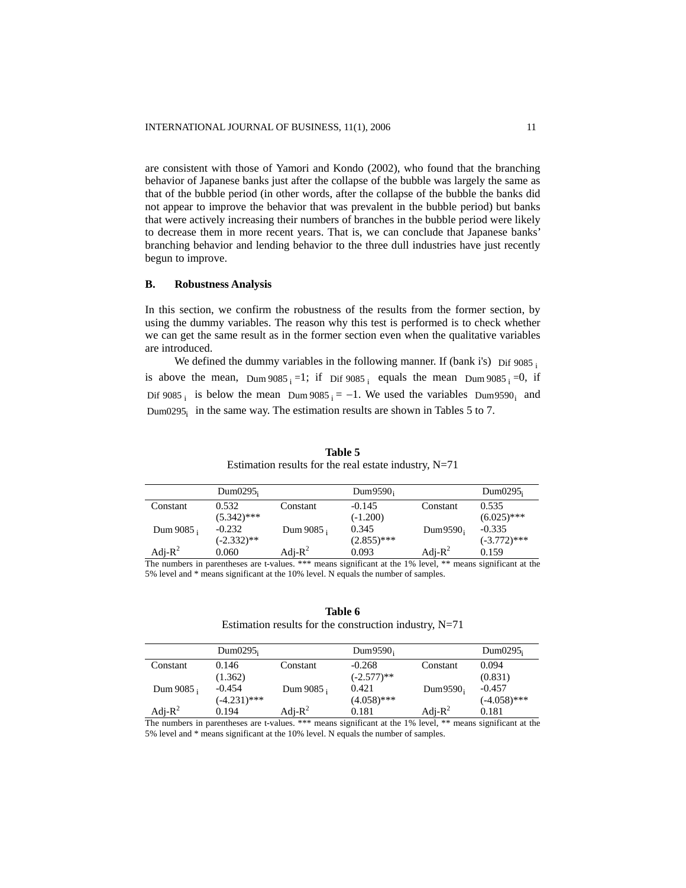are consistent with those of Yamori and Kondo (2002), who found that the branching behavior of Japanese banks just after the collapse of the bubble was largely the same as that of the bubble period (in other words, after the collapse of the bubble the banks did not appear to improve the behavior that was prevalent in the bubble period) but banks that were actively increasing their numbers of branches in the bubble period were likely to decrease them in more recent years. That is, we can conclude that Japanese banks' branching behavior and lending behavior to the three dull industries have just recently begun to improve.

#### **B. Robustness Analysis**

In this section, we confirm the robustness of the results from the former section, by using the dummy variables. The reason why this test is performed is to check whether we can get the same result as in the former section even when the qualitative variables are introduced.

We defined the dummy variables in the following manner. If (bank i's) Dif  $9085<sub>i</sub>$ is above the mean, Dum  $9085$ <sub>i</sub> =1; if Dif  $9085$ <sub>i</sub> equals the mean Dum  $9085$ <sub>i</sub> =0, if Dif 9085 i is below the mean Dum 9085  $i = -1$ . We used the variables Dum9590<sub>i</sub> and Dum0295 $_i$  in the same way. The estimation results are shown in Tables 5 to 7.

|            | Dum $0295$    |              | $Dum9590_i$   |              | Dum $0295$     |
|------------|---------------|--------------|---------------|--------------|----------------|
| Constant   | 0.532         | Constant     | $-0.145$      | Constant     | 0.535          |
|            | $(5.342)$ *** |              | $(-1.200)$    |              | $(6.025)$ ***  |
| Dum 9085;  | $-0.232$      | Dum $9085$ ; | 0.345         | Dum $9590_i$ | $-0.335$       |
|            | $(-2.332)$ ** |              | $(2.855)$ *** |              | $(-3.772)$ *** |
| Adj- $R^2$ | 0.060         | Adj- $R^2$   | 0.093         | Adj- $R^2$   | 0.159          |

**Table 5** Estimation results for the real estate industry,  $N=71$ 

The numbers in parentheses are t-values. \*\*\* means significant at the 1% level, \*\* means significant at the 5% level and \* means significant at the 10% level. N equals the number of samples.

## **Table 6** Estimation results for the construction industry, N=71

|              | Dum $0295i$    |            | Dum $9590_i$  |              | Dum $0295$     |
|--------------|----------------|------------|---------------|--------------|----------------|
| Constant     | 0.146          | Constant   | $-0.268$      | Constant     | 0.094          |
|              | (1.362)        |            | $(-2.577)$ ** |              | (0.831)        |
| Dum $9085$ ; | $-0.454$       | Dum 9085;  | 0.421         | Dum $9590_i$ | $-0.457$       |
|              | $(-4.231)$ *** |            | $(4.058)$ *** |              | $(-4.058)$ *** |
| Adj- $R^2$   | 0.194          | Adj- $R^2$ | 0.181         | Adj- $R^2$   | 0.181          |

The numbers in parentheses are t-values. \*\*\* means significant at the 1% level, \*\* means significant at the 5% level and \* means significant at the 10% level. N equals the number of samples.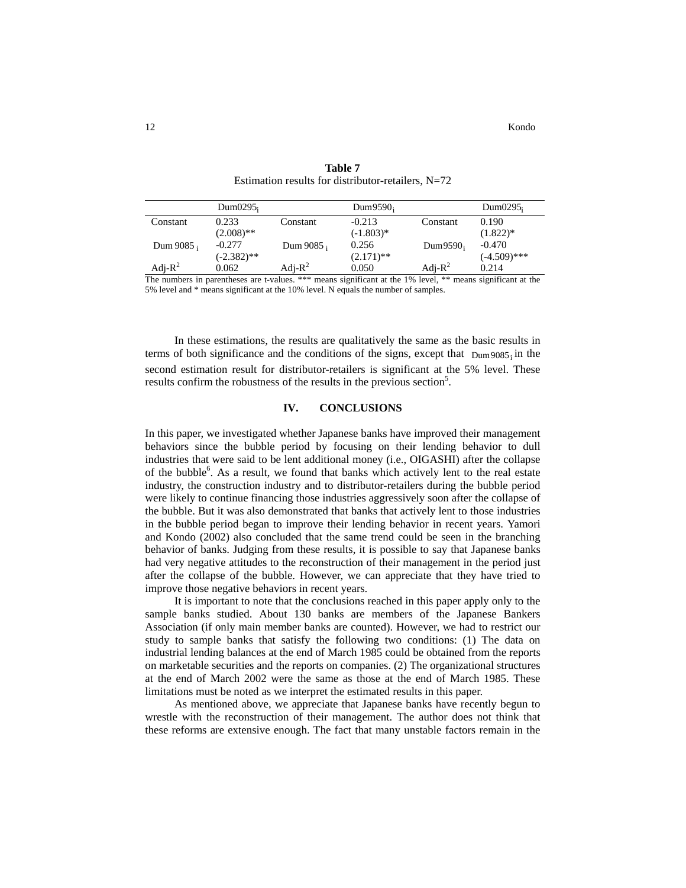|            | Dum $0295i$   |              | Dum9590 <sub>i</sub> |              | Dum $0295$     |
|------------|---------------|--------------|----------------------|--------------|----------------|
| Constant   | 0.233         | Constant     | $-0.213$             | Constant     | 0.190          |
|            | $(2.008)$ **  |              | $(-1.803)*$          |              | $(1.822)*$     |
| Dum 9085;  | $-0.277$      | Dum $9085$ ; | 0.256                | Dum $9590_i$ | $-0.470$       |
|            | $(-2.382)$ ** |              | $(2.171)$ **         |              | $(-4.509)$ *** |
| Adj- $R^2$ | 0.062         | Adi- $R^2$   | 0.050                | Adj- $R^2$   | 0.214          |

**Table 7** Estimation results for distributor-retailers, N=72

The numbers in parentheses are t-values. \*\*\* means significant at the 1% level, \*\* means significant at the 5% level and \* means significant at the 10% level. N equals the number of samples.

In these estimations, the results are qualitatively the same as the basic results in terms of both significance and the conditions of the signs, except that  $Dum9085<sub>i</sub>$  in the second estimation result for distributor-retailers is significant at the 5% level. These results confirm the robustness of the results in the previous section<sup>5</sup>.

#### **IV. CONCLUSIONS**

In this paper, we investigated whether Japanese banks have improved their management behaviors since the bubble period by focusing on their lending behavior to dull industries that were said to be lent additional money (i.e., OIGASHI) after the collapse of the bubble<sup>6</sup>. As a result, we found that banks which actively lent to the real estate industry, the construction industry and to distributor-retailers during the bubble period were likely to continue financing those industries aggressively soon after the collapse of the bubble. But it was also demonstrated that banks that actively lent to those industries in the bubble period began to improve their lending behavior in recent years. Yamori and Kondo (2002) also concluded that the same trend could be seen in the branching behavior of banks. Judging from these results, it is possible to say that Japanese banks had very negative attitudes to the reconstruction of their management in the period just after the collapse of the bubble. However, we can appreciate that they have tried to improve those negative behaviors in recent years.

It is important to note that the conclusions reached in this paper apply only to the sample banks studied. About 130 banks are members of the Japanese Bankers Association (if only main member banks are counted). However, we had to restrict our study to sample banks that satisfy the following two conditions: (1) The data on industrial lending balances at the end of March 1985 could be obtained from the reports on marketable securities and the reports on companies. (2) The organizational structures at the end of March 2002 were the same as those at the end of March 1985. These limitations must be noted as we interpret the estimated results in this paper.

As mentioned above, we appreciate that Japanese banks have recently begun to wrestle with the reconstruction of their management. The author does not think that these reforms are extensive enough. The fact that many unstable factors remain in the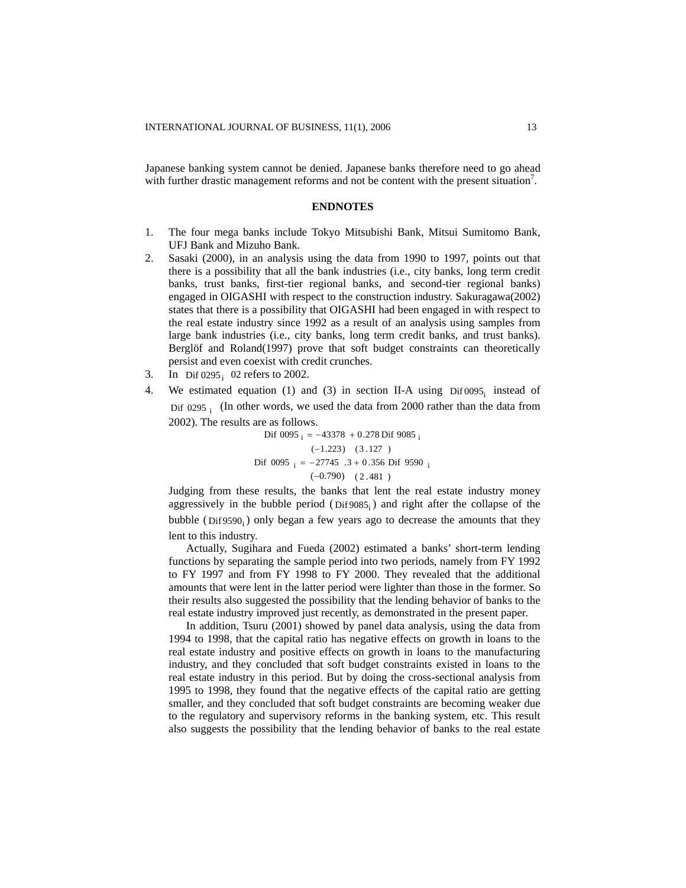Japanese banking system cannot be denied. Japanese banks therefore need to go ahead with further drastic management reforms and not be content with the present situation<sup>7</sup>.

#### **ENDNOTES**

- 1. The four mega banks include Tokyo Mitsubishi Bank, Mitsui Sumitomo Bank, UFJ Bank and Mizuho Bank.
- 2. Sasaki (2000), in an analysis using the data from 1990 to 1997, points out that there is a possibility that all the bank industries (i.e., city banks, long term credit banks, trust banks, first-tier regional banks, and second-tier regional banks) engaged in OIGASHI with respect to the construction industry. Sakuragawa(2002) states that there is a possibility that OIGASHI had been engaged in with respect to the real estate industry since 1992 as a result of an analysis using samples from large bank industries (i.e., city banks, long term credit banks, and trust banks). Berglöf and Roland(1997) prove that soft budget constraints can theoretically persist and even coexist with credit crunches.
- 3. In Dif 0295; 02 refers to 2002.
- 4. We estimated equation (1) and (3) in section II-A using  $\text{Dir} 0095$  instead of Dif 0295 $\frac{1}{1}$  (In other words, we used the data from 2000 rather than the data from 2002). The results are as follows.

Dif 0095  $i = -43378 + 0.278$  Dif 9085  $i$  (−1.223) (3 .127 ) Dif 0095  $i = -27745$  .3 + 0.356 Dif 9590 i  $(-0.790)$   $(2.481)$ 

Judging from these results, the banks that lent the real estate industry money aggressively in the bubble period  $(Dif 9085<sub>i</sub>)$  and right after the collapse of the bubble ( $\text{Diff9590}_i$ ) only began a few years ago to decrease the amounts that they lent to this industry.

Actually, Sugihara and Fueda (2002) estimated a banks' short-term lending functions by separating the sample period into two periods, namely from FY 1992 to FY 1997 and from FY 1998 to FY 2000. They revealed that the additional amounts that were lent in the latter period were lighter than those in the former. So their results also suggested the possibility that the lending behavior of banks to the real estate industry improved just recently, as demonstrated in the present paper.

In addition, Tsuru (2001) showed by panel data analysis, using the data from 1994 to 1998, that the capital ratio has negative effects on growth in loans to the real estate industry and positive effects on growth in loans to the manufacturing industry, and they concluded that soft budget constraints existed in loans to the real estate industry in this period. But by doing the cross-sectional analysis from 1995 to 1998, they found that the negative effects of the capital ratio are getting smaller, and they concluded that soft budget constraints are becoming weaker due to the regulatory and supervisory reforms in the banking system, etc. This result also suggests the possibility that the lending behavior of banks to the real estate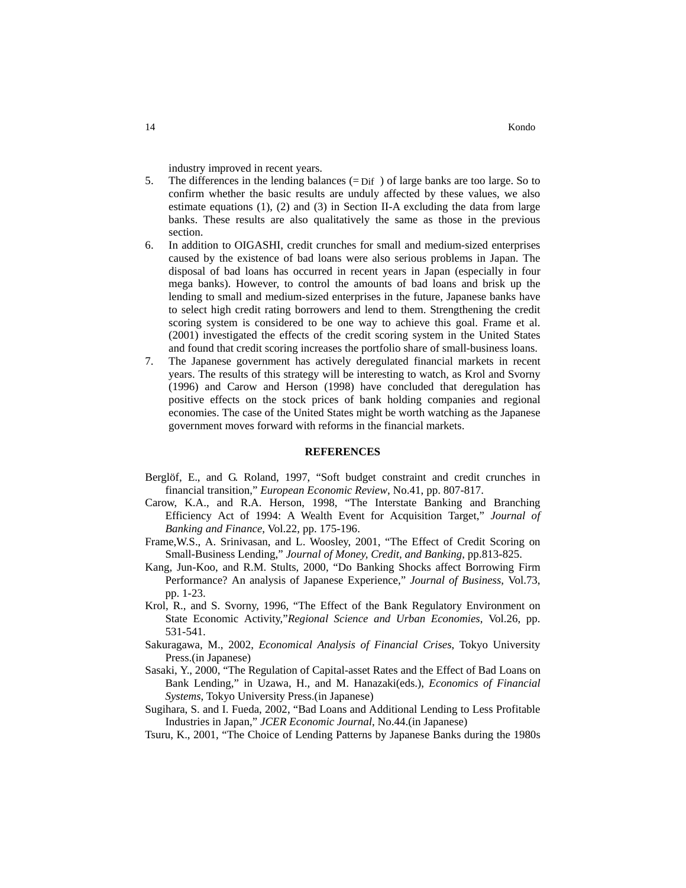industry improved in recent years.

- 5. The differences in the lending balances (= Dif ) of large banks are too large. So to confirm whether the basic results are unduly affected by these values, we also estimate equations  $(1)$ ,  $(2)$  and  $(3)$  in Section II-A excluding the data from large banks. These results are also qualitatively the same as those in the previous section.
- 6. In addition to OIGASHI, credit crunches for small and medium-sized enterprises caused by the existence of bad loans were also serious problems in Japan. The disposal of bad loans has occurred in recent years in Japan (especially in four mega banks). However, to control the amounts of bad loans and brisk up the lending to small and medium-sized enterprises in the future, Japanese banks have to select high credit rating borrowers and lend to them. Strengthening the credit scoring system is considered to be one way to achieve this goal. Frame et al. (2001) investigated the effects of the credit scoring system in the United States and found that credit scoring increases the portfolio share of small-business loans.
- 7. The Japanese government has actively deregulated financial markets in recent years. The results of this strategy will be interesting to watch, as Krol and Svorny (1996) and Carow and Herson (1998) have concluded that deregulation has positive effects on the stock prices of bank holding companies and regional economies. The case of the United States might be worth watching as the Japanese government moves forward with reforms in the financial markets.

#### **REFERENCES**

- Berglöf, E., and G. Roland, 1997, "Soft budget constraint and credit crunches in financial transition," *European Economic Review*, No.41, pp. 807-817.
- Carow, K.A., and R.A. Herson, 1998, "The Interstate Banking and Branching Efficiency Act of 1994: A Wealth Event for Acquisition Target," *Journal of Banking and Finance*, Vol.22, pp. 175-196.
- Frame,W.S., A. Srinivasan, and L. Woosley, 2001, "The Effect of Credit Scoring on Small-Business Lending," *Journal of Money, Credit, and Banking*, pp.813-825.
- Kang, Jun-Koo, and R.M. Stults, 2000, "Do Banking Shocks affect Borrowing Firm Performance? An analysis of Japanese Experience," *Journal of Business*, Vol.73, pp. 1-23.
- Krol, R., and S. Svorny, 1996, "The Effect of the Bank Regulatory Environment on State Economic Activity,"*Regional Science and Urban Economies*, Vol.26, pp. 531-541.
- Sakuragawa, M., 2002, *Economical Analysis of Financial Crises*, Tokyo University Press.(in Japanese)
- Sasaki, Y., 2000, "The Regulation of Capital-asset Rates and the Effect of Bad Loans on Bank Lending," in Uzawa, H., and M. Hanazaki(eds.), *Economics of Financial Systems*, Tokyo University Press.(in Japanese)
- Sugihara, S. and I. Fueda, 2002, "Bad Loans and Additional Lending to Less Profitable Industries in Japan," *JCER Economic Journal*, No.44.(in Japanese)
- Tsuru, K., 2001, "The Choice of Lending Patterns by Japanese Banks during the 1980s